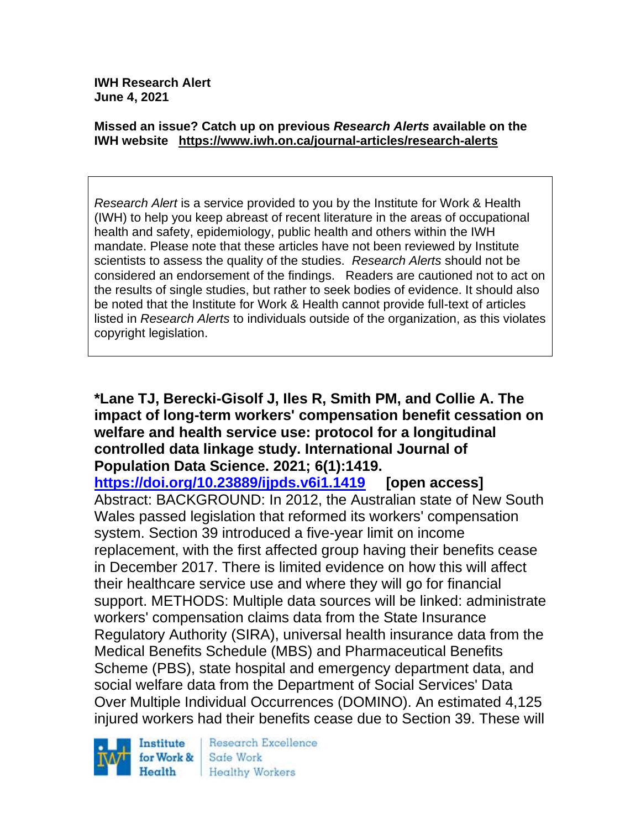**IWH Research Alert June 4, 2021**

#### **Missed an issue? Catch up on previous** *Research Alerts* **available on the [IWH website](http://www.iwh.on.ca/research-alerts) <https://www.iwh.on.ca/journal-articles/research-alerts>**

*Research Alert* is a service provided to you by the Institute for Work & Health (IWH) to help you keep abreast of recent literature in the areas of occupational health and safety, epidemiology, public health and others within the IWH mandate. Please note that these articles have not been reviewed by Institute scientists to assess the quality of the studies. *Research Alerts* should not be considered an endorsement of the findings. Readers are cautioned not to act on the results of single studies, but rather to seek bodies of evidence. It should also be noted that the Institute for Work & Health cannot provide full-text of articles listed in *Research Alerts* to individuals outside of the organization, as this violates copyright legislation.

### **\*Lane TJ, Berecki-Gisolf J, Iles R, Smith PM, and Collie A. The impact of long-term workers' compensation benefit cessation on welfare and health service use: protocol for a longitudinal controlled data linkage study. International Journal of Population Data Science. 2021; 6(1):1419.**

**<https://doi.org/10.23889/ijpds.v6i1.1419> [open access]** Abstract: BACKGROUND: In 2012, the Australian state of New South Wales passed legislation that reformed its workers' compensation system. Section 39 introduced a five-year limit on income replacement, with the first affected group having their benefits cease in December 2017. There is limited evidence on how this will affect their healthcare service use and where they will go for financial support. METHODS: Multiple data sources will be linked: administrate workers' compensation claims data from the State Insurance Regulatory Authority (SIRA), universal health insurance data from the Medical Benefits Schedule (MBS) and Pharmaceutical Benefits Scheme (PBS), state hospital and emergency department data, and social welfare data from the Department of Social Services' Data Over Multiple Individual Occurrences (DOMINO). An estimated 4,125 injured workers had their benefits cease due to Section 39. These will



Research Excellence Safe Work **Healthy Workers**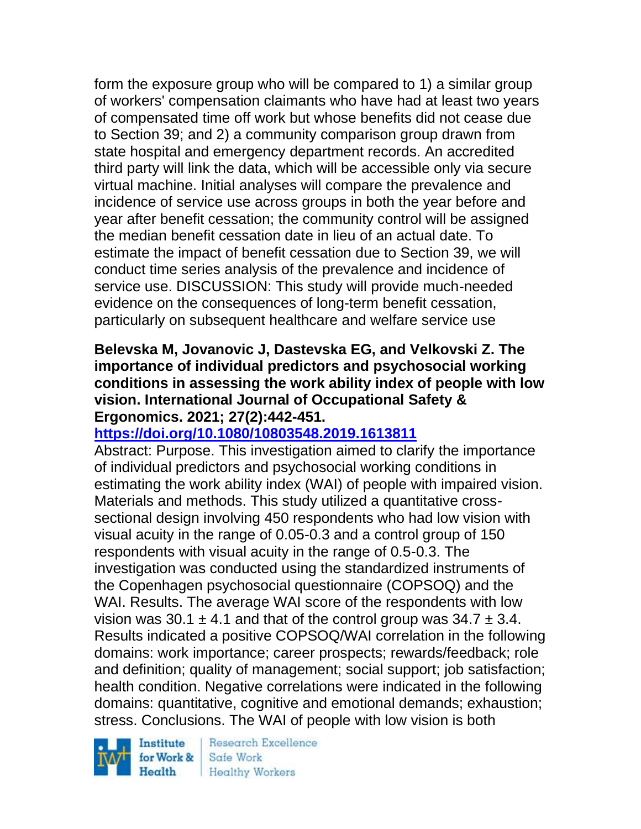form the exposure group who will be compared to 1) a similar group of workers' compensation claimants who have had at least two years of compensated time off work but whose benefits did not cease due to Section 39; and 2) a community comparison group drawn from state hospital and emergency department records. An accredited third party will link the data, which will be accessible only via secure virtual machine. Initial analyses will compare the prevalence and incidence of service use across groups in both the year before and year after benefit cessation; the community control will be assigned the median benefit cessation date in lieu of an actual date. To estimate the impact of benefit cessation due to Section 39, we will conduct time series analysis of the prevalence and incidence of service use. DISCUSSION: This study will provide much-needed evidence on the consequences of long-term benefit cessation, particularly on subsequent healthcare and welfare service use

# **Belevska M, Jovanovic J, Dastevska EG, and Velkovski Z. The importance of individual predictors and psychosocial working conditions in assessing the work ability index of people with low vision. International Journal of Occupational Safety & Ergonomics. 2021; 27(2):442-451.**

# **<https://doi.org/10.1080/10803548.2019.1613811>**

Abstract: Purpose. This investigation aimed to clarify the importance of individual predictors and psychosocial working conditions in estimating the work ability index (WAI) of people with impaired vision. Materials and methods. This study utilized a quantitative crosssectional design involving 450 respondents who had low vision with visual acuity in the range of 0.05-0.3 and a control group of 150 respondents with visual acuity in the range of 0.5-0.3. The investigation was conducted using the standardized instruments of the Copenhagen psychosocial questionnaire (COPSOQ) and the WAI. Results. The average WAI score of the respondents with low vision was 30.1  $\pm$  4.1 and that of the control group was 34.7  $\pm$  3.4. Results indicated a positive COPSOQ/WAI correlation in the following domains: work importance; career prospects; rewards/feedback; role and definition; quality of management; social support; job satisfaction; health condition. Negative correlations were indicated in the following domains: quantitative, cognitive and emotional demands; exhaustion; stress. Conclusions. The WAI of people with low vision is both

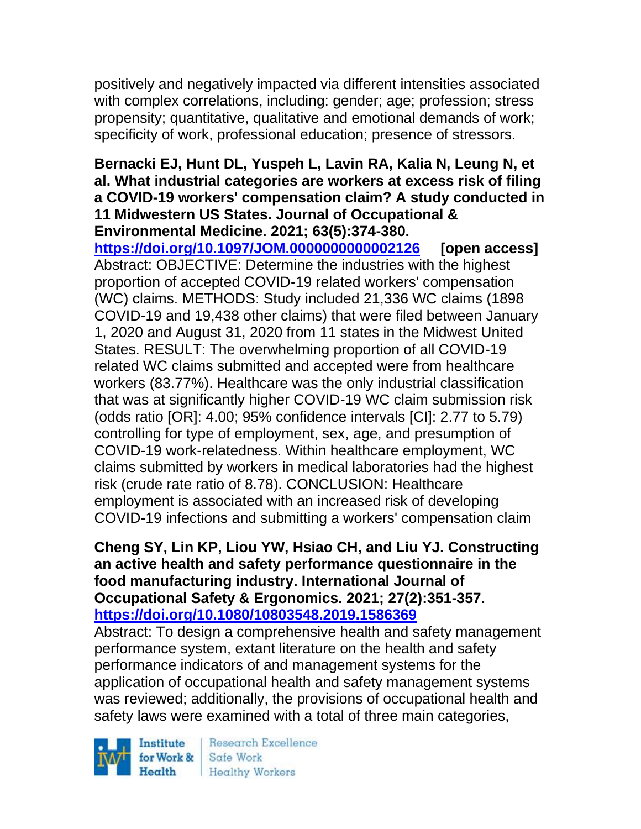positively and negatively impacted via different intensities associated with complex correlations, including: gender; age; profession; stress propensity; quantitative, qualitative and emotional demands of work; specificity of work, professional education; presence of stressors.

### **Bernacki EJ, Hunt DL, Yuspeh L, Lavin RA, Kalia N, Leung N, et al. What industrial categories are workers at excess risk of filing a COVID-19 workers' compensation claim? A study conducted in 11 Midwestern US States. Journal of Occupational & Environmental Medicine. 2021; 63(5):374-380.**

**<https://doi.org/10.1097/JOM.0000000000002126> [open access]** Abstract: OBJECTIVE: Determine the industries with the highest proportion of accepted COVID-19 related workers' compensation (WC) claims. METHODS: Study included 21,336 WC claims (1898 COVID-19 and 19,438 other claims) that were filed between January 1, 2020 and August 31, 2020 from 11 states in the Midwest United States. RESULT: The overwhelming proportion of all COVID-19 related WC claims submitted and accepted were from healthcare workers (83.77%). Healthcare was the only industrial classification that was at significantly higher COVID-19 WC claim submission risk (odds ratio [OR]: 4.00; 95% confidence intervals [CI]: 2.77 to 5.79) controlling for type of employment, sex, age, and presumption of COVID-19 work-relatedness. Within healthcare employment, WC claims submitted by workers in medical laboratories had the highest risk (crude rate ratio of 8.78). CONCLUSION: Healthcare employment is associated with an increased risk of developing COVID-19 infections and submitting a workers' compensation claim

#### **Cheng SY, Lin KP, Liou YW, Hsiao CH, and Liu YJ. Constructing an active health and safety performance questionnaire in the food manufacturing industry. International Journal of Occupational Safety & Ergonomics. 2021; 27(2):351-357. <https://doi.org/10.1080/10803548.2019.1586369>**

Abstract: To design a comprehensive health and safety management performance system, extant literature on the health and safety performance indicators of and management systems for the application of occupational health and safety management systems was reviewed; additionally, the provisions of occupational health and safety laws were examined with a total of three main categories,

Institute Health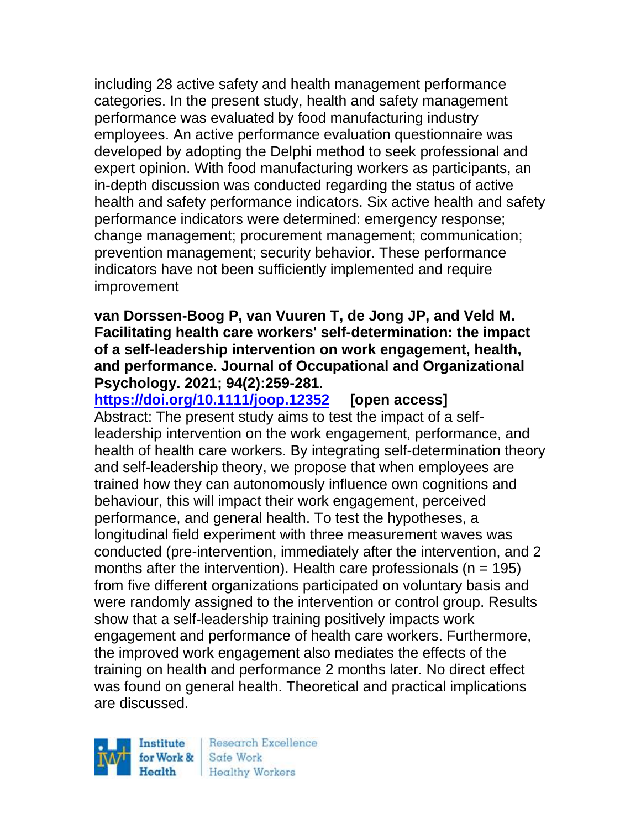including 28 active safety and health management performance categories. In the present study, health and safety management performance was evaluated by food manufacturing industry employees. An active performance evaluation questionnaire was developed by adopting the Delphi method to seek professional and expert opinion. With food manufacturing workers as participants, an in-depth discussion was conducted regarding the status of active health and safety performance indicators. Six active health and safety performance indicators were determined: emergency response; change management; procurement management; communication; prevention management; security behavior. These performance indicators have not been sufficiently implemented and require improvement

### **van Dorssen-Boog P, van Vuuren T, de Jong JP, and Veld M. Facilitating health care workers' self-determination: the impact of a self-leadership intervention on work engagement, health, and performance. Journal of Occupational and Organizational Psychology. 2021; 94(2):259-281.**

**<https://doi.org/10.1111/joop.12352> [open access]** Abstract: The present study aims to test the impact of a selfleadership intervention on the work engagement, performance, and health of health care workers. By integrating self-determination theory and self-leadership theory, we propose that when employees are trained how they can autonomously influence own cognitions and behaviour, this will impact their work engagement, perceived performance, and general health. To test the hypotheses, a longitudinal field experiment with three measurement waves was conducted (pre-intervention, immediately after the intervention, and 2 months after the intervention). Health care professionals ( $n = 195$ ) from five different organizations participated on voluntary basis and were randomly assigned to the intervention or control group. Results show that a self-leadership training positively impacts work engagement and performance of health care workers. Furthermore, the improved work engagement also mediates the effects of the training on health and performance 2 months later. No direct effect was found on general health. Theoretical and practical implications are discussed.

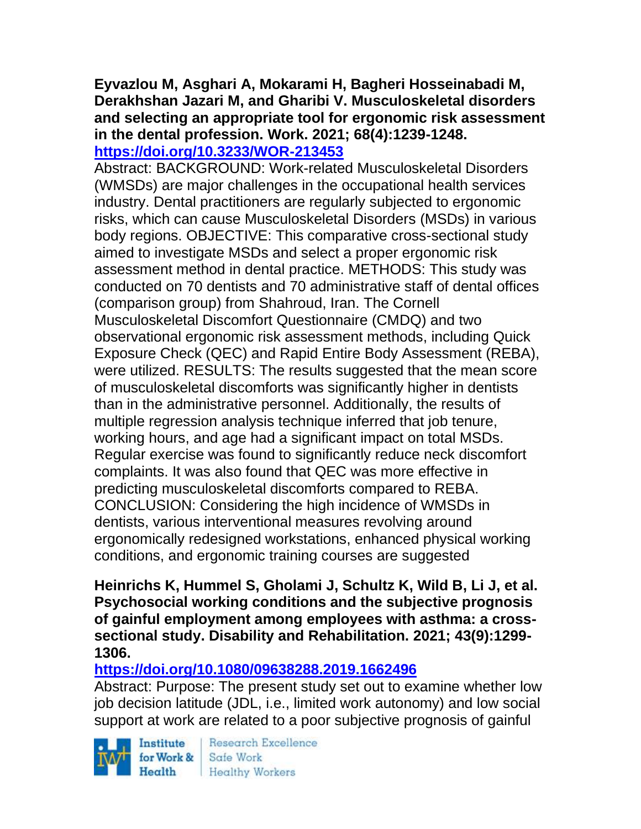### **Eyvazlou M, Asghari A, Mokarami H, Bagheri Hosseinabadi M, Derakhshan Jazari M, and Gharibi V. Musculoskeletal disorders and selecting an appropriate tool for ergonomic risk assessment in the dental profession. Work. 2021; 68(4):1239-1248. <https://doi.org/10.3233/WOR-213453>**

Abstract: BACKGROUND: Work-related Musculoskeletal Disorders (WMSDs) are major challenges in the occupational health services industry. Dental practitioners are regularly subjected to ergonomic risks, which can cause Musculoskeletal Disorders (MSDs) in various body regions. OBJECTIVE: This comparative cross-sectional study aimed to investigate MSDs and select a proper ergonomic risk assessment method in dental practice. METHODS: This study was conducted on 70 dentists and 70 administrative staff of dental offices (comparison group) from Shahroud, Iran. The Cornell Musculoskeletal Discomfort Questionnaire (CMDQ) and two observational ergonomic risk assessment methods, including Quick Exposure Check (QEC) and Rapid Entire Body Assessment (REBA), were utilized. RESULTS: The results suggested that the mean score of musculoskeletal discomforts was significantly higher in dentists than in the administrative personnel. Additionally, the results of multiple regression analysis technique inferred that job tenure, working hours, and age had a significant impact on total MSDs. Regular exercise was found to significantly reduce neck discomfort complaints. It was also found that QEC was more effective in predicting musculoskeletal discomforts compared to REBA. CONCLUSION: Considering the high incidence of WMSDs in dentists, various interventional measures revolving around ergonomically redesigned workstations, enhanced physical working conditions, and ergonomic training courses are suggested

**Heinrichs K, Hummel S, Gholami J, Schultz K, Wild B, Li J, et al. Psychosocial working conditions and the subjective prognosis of gainful employment among employees with asthma: a crosssectional study. Disability and Rehabilitation. 2021; 43(9):1299- 1306.** 

# **<https://doi.org/10.1080/09638288.2019.1662496>**

Abstract: Purpose: The present study set out to examine whether low job decision latitude (JDL, i.e., limited work autonomy) and low social support at work are related to a poor subjective prognosis of gainful



Research Excellence Health Healthy Workers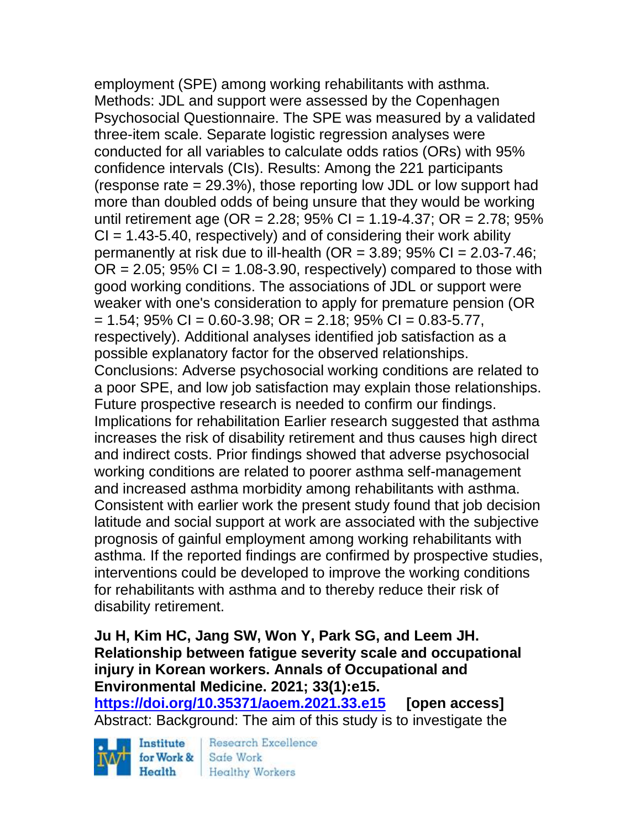employment (SPE) among working rehabilitants with asthma. Methods: JDL and support were assessed by the Copenhagen Psychosocial Questionnaire. The SPE was measured by a validated three-item scale. Separate logistic regression analyses were conducted for all variables to calculate odds ratios (ORs) with 95% confidence intervals (CIs). Results: Among the 221 participants (response rate = 29.3%), those reporting low JDL or low support had more than doubled odds of being unsure that they would be working until retirement age (OR =  $2.28$ ;  $95\%$  CI =  $1.19-4.37$ ; OR =  $2.78$ ;  $95\%$  $CI = 1.43-5.40$ , respectively) and of considering their work ability permanently at risk due to ill-health (OR = 3.89;  $95\%$  CI = 2.03-7.46;  $OR = 2.05$ ; 95%  $CI = 1.08 - 3.90$ , respectively) compared to those with good working conditions. The associations of JDL or support were weaker with one's consideration to apply for premature pension (OR  $= 1.54$ ; 95% CI = 0.60-3.98; OR = 2.18; 95% CI = 0.83-5.77, respectively). Additional analyses identified job satisfaction as a possible explanatory factor for the observed relationships. Conclusions: Adverse psychosocial working conditions are related to a poor SPE, and low job satisfaction may explain those relationships. Future prospective research is needed to confirm our findings. Implications for rehabilitation Earlier research suggested that asthma increases the risk of disability retirement and thus causes high direct and indirect costs. Prior findings showed that adverse psychosocial working conditions are related to poorer asthma self-management and increased asthma morbidity among rehabilitants with asthma. Consistent with earlier work the present study found that job decision latitude and social support at work are associated with the subjective prognosis of gainful employment among working rehabilitants with asthma. If the reported findings are confirmed by prospective studies, interventions could be developed to improve the working conditions for rehabilitants with asthma and to thereby reduce their risk of disability retirement.

# **Ju H, Kim HC, Jang SW, Won Y, Park SG, and Leem JH. Relationship between fatigue severity scale and occupational injury in Korean workers. Annals of Occupational and Environmental Medicine. 2021; 33(1):e15.**

**<https://doi.org/10.35371/aoem.2021.33.e15> [open access]** Abstract: Background: The aim of this study is to investigate the

Institute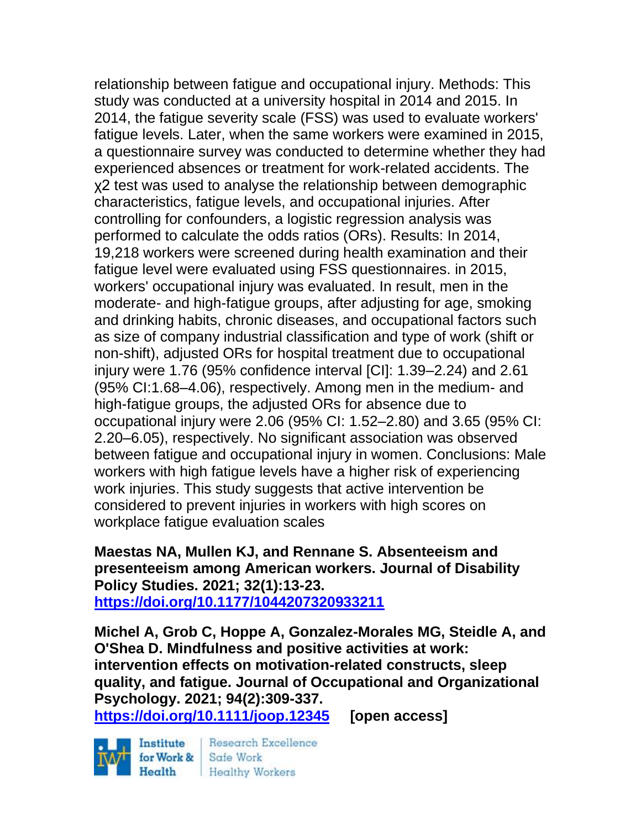relationship between fatigue and occupational injury. Methods: This study was conducted at a university hospital in 2014 and 2015. In 2014, the fatigue severity scale (FSS) was used to evaluate workers' fatigue levels. Later, when the same workers were examined in 2015, a questionnaire survey was conducted to determine whether they had experienced absences or treatment for work-related accidents. The χ2 test was used to analyse the relationship between demographic characteristics, fatigue levels, and occupational injuries. After controlling for confounders, a logistic regression analysis was performed to calculate the odds ratios (ORs). Results: In 2014, 19,218 workers were screened during health examination and their fatigue level were evaluated using FSS questionnaires. in 2015, workers' occupational injury was evaluated. In result, men in the moderate- and high-fatigue groups, after adjusting for age, smoking and drinking habits, chronic diseases, and occupational factors such as size of company industrial classification and type of work (shift or non-shift), adjusted ORs for hospital treatment due to occupational injury were 1.76 (95% confidence interval [CI]: 1.39–2.24) and 2.61 (95% CI:1.68–4.06), respectively. Among men in the medium- and high-fatigue groups, the adjusted ORs for absence due to occupational injury were 2.06 (95% CI: 1.52–2.80) and 3.65 (95% CI: 2.20–6.05), respectively. No significant association was observed between fatigue and occupational injury in women. Conclusions: Male workers with high fatigue levels have a higher risk of experiencing work injuries. This study suggests that active intervention be considered to prevent injuries in workers with high scores on workplace fatigue evaluation scales

**Maestas NA, Mullen KJ, and Rennane S. Absenteeism and presenteeism among American workers. Journal of Disability Policy Studies. 2021; 32(1):13-23. <https://doi.org/10.1177/1044207320933211>** 

**Michel A, Grob C, Hoppe A, Gonzalez-Morales MG, Steidle A, and O'Shea D. Mindfulness and positive activities at work: intervention effects on motivation-related constructs, sleep quality, and fatigue. Journal of Occupational and Organizational Psychology. 2021; 94(2):309-337.** 

**<https://doi.org/10.1111/joop.12345> [open access]**

Institute Health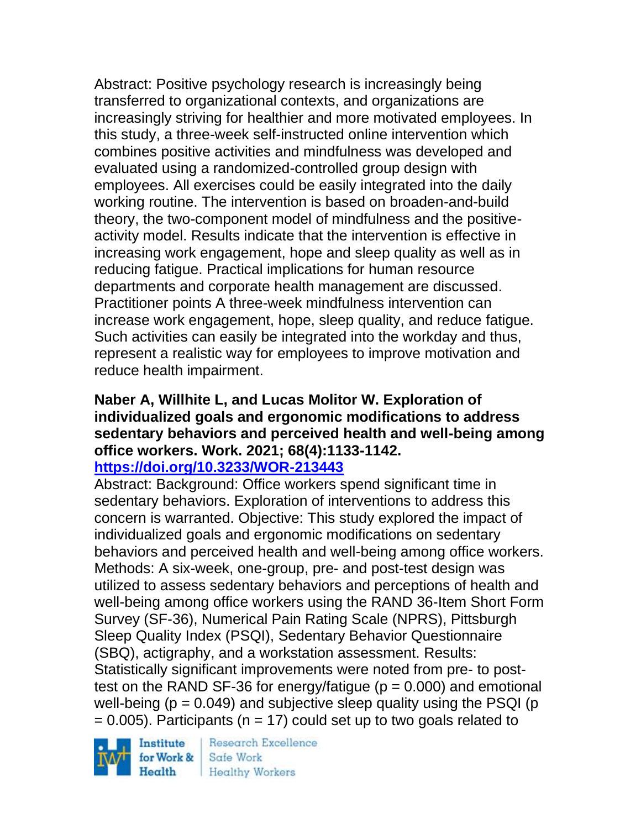Abstract: Positive psychology research is increasingly being transferred to organizational contexts, and organizations are increasingly striving for healthier and more motivated employees. In this study, a three-week self-instructed online intervention which combines positive activities and mindfulness was developed and evaluated using a randomized-controlled group design with employees. All exercises could be easily integrated into the daily working routine. The intervention is based on broaden-and-build theory, the two-component model of mindfulness and the positiveactivity model. Results indicate that the intervention is effective in increasing work engagement, hope and sleep quality as well as in reducing fatigue. Practical implications for human resource departments and corporate health management are discussed. Practitioner points A three-week mindfulness intervention can increase work engagement, hope, sleep quality, and reduce fatigue. Such activities can easily be integrated into the workday and thus, represent a realistic way for employees to improve motivation and reduce health impairment.

# **Naber A, Willhite L, and Lucas Molitor W. Exploration of individualized goals and ergonomic modifications to address sedentary behaviors and perceived health and well-being among office workers. Work. 2021; 68(4):1133-1142.**

# **<https://doi.org/10.3233/WOR-213443>**

Abstract: Background: Office workers spend significant time in sedentary behaviors. Exploration of interventions to address this concern is warranted. Objective: This study explored the impact of individualized goals and ergonomic modifications on sedentary behaviors and perceived health and well-being among office workers. Methods: A six-week, one-group, pre- and post-test design was utilized to assess sedentary behaviors and perceptions of health and well-being among office workers using the RAND 36-Item Short Form Survey (SF-36), Numerical Pain Rating Scale (NPRS), Pittsburgh Sleep Quality Index (PSQI), Sedentary Behavior Questionnaire (SBQ), actigraphy, and a workstation assessment. Results: Statistically significant improvements were noted from pre- to posttest on the RAND SF-36 for energy/fatigue ( $p = 0.000$ ) and emotional well-being ( $p = 0.049$ ) and subjective sleep quality using the PSQI ( $p$ )  $= 0.005$ ). Participants (n = 17) could set up to two goals related to

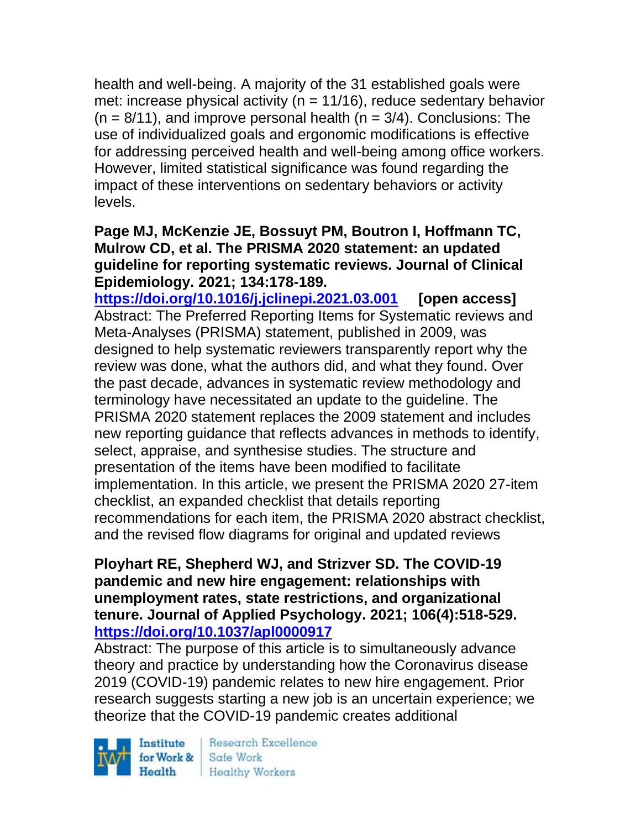health and well-being. A majority of the 31 established goals were met: increase physical activity ( $n = 11/16$ ), reduce sedentary behavior  $(n = 8/11)$ , and improve personal health  $(n = 3/4)$ . Conclusions: The use of individualized goals and ergonomic modifications is effective for addressing perceived health and well-being among office workers. However, limited statistical significance was found regarding the impact of these interventions on sedentary behaviors or activity levels.

## **Page MJ, McKenzie JE, Bossuyt PM, Boutron I, Hoffmann TC, Mulrow CD, et al. The PRISMA 2020 statement: an updated guideline for reporting systematic reviews. Journal of Clinical Epidemiology. 2021; 134:178-189.**

**<https://doi.org/10.1016/j.jclinepi.2021.03.001> [open access]** Abstract: The Preferred Reporting Items for Systematic reviews and Meta-Analyses (PRISMA) statement, published in 2009, was designed to help systematic reviewers transparently report why the review was done, what the authors did, and what they found. Over the past decade, advances in systematic review methodology and terminology have necessitated an update to the guideline. The PRISMA 2020 statement replaces the 2009 statement and includes new reporting guidance that reflects advances in methods to identify, select, appraise, and synthesise studies. The structure and presentation of the items have been modified to facilitate implementation. In this article, we present the PRISMA 2020 27-item checklist, an expanded checklist that details reporting recommendations for each item, the PRISMA 2020 abstract checklist, and the revised flow diagrams for original and updated reviews

# **Ployhart RE, Shepherd WJ, and Strizver SD. The COVID-19 pandemic and new hire engagement: relationships with unemployment rates, state restrictions, and organizational tenure. Journal of Applied Psychology. 2021; 106(4):518-529. <https://doi.org/10.1037/apl0000917>**

Abstract: The purpose of this article is to simultaneously advance theory and practice by understanding how the Coronavirus disease 2019 (COVID-19) pandemic relates to new hire engagement. Prior research suggests starting a new job is an uncertain experience; we theorize that the COVID-19 pandemic creates additional

Institute Health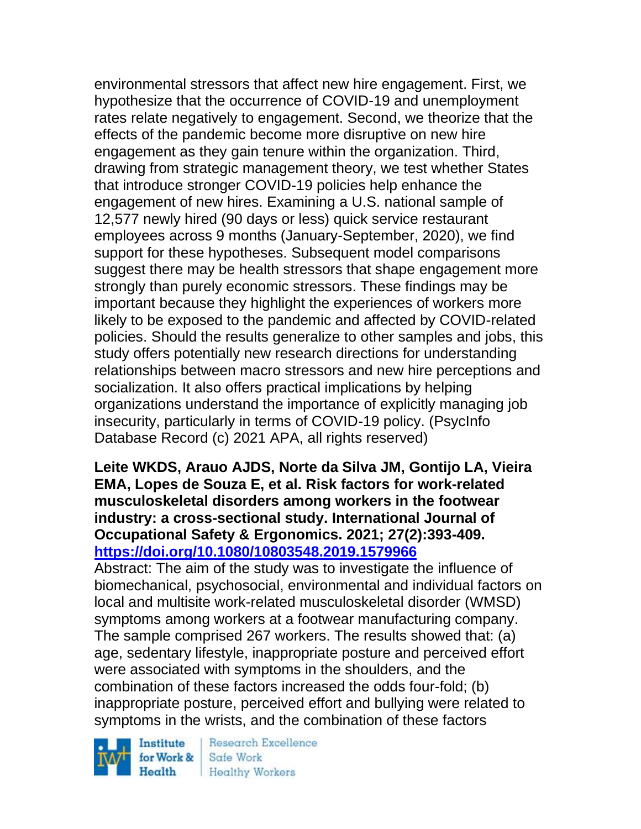environmental stressors that affect new hire engagement. First, we hypothesize that the occurrence of COVID-19 and unemployment rates relate negatively to engagement. Second, we theorize that the effects of the pandemic become more disruptive on new hire engagement as they gain tenure within the organization. Third, drawing from strategic management theory, we test whether States that introduce stronger COVID-19 policies help enhance the engagement of new hires. Examining a U.S. national sample of 12,577 newly hired (90 days or less) quick service restaurant employees across 9 months (January-September, 2020), we find support for these hypotheses. Subsequent model comparisons suggest there may be health stressors that shape engagement more strongly than purely economic stressors. These findings may be important because they highlight the experiences of workers more likely to be exposed to the pandemic and affected by COVID-related policies. Should the results generalize to other samples and jobs, this study offers potentially new research directions for understanding relationships between macro stressors and new hire perceptions and socialization. It also offers practical implications by helping organizations understand the importance of explicitly managing job insecurity, particularly in terms of COVID-19 policy. (PsycInfo Database Record (c) 2021 APA, all rights reserved)

**Leite WKDS, Arauo AJDS, Norte da Silva JM, Gontijo LA, Vieira EMA, Lopes de Souza E, et al. Risk factors for work-related musculoskeletal disorders among workers in the footwear industry: a cross-sectional study. International Journal of Occupational Safety & Ergonomics. 2021; 27(2):393-409. <https://doi.org/10.1080/10803548.2019.1579966>** 

Abstract: The aim of the study was to investigate the influence of biomechanical, psychosocial, environmental and individual factors on local and multisite work-related musculoskeletal disorder (WMSD) symptoms among workers at a footwear manufacturing company. The sample comprised 267 workers. The results showed that: (a) age, sedentary lifestyle, inappropriate posture and perceived effort were associated with symptoms in the shoulders, and the combination of these factors increased the odds four-fold; (b) inappropriate posture, perceived effort and bullying were related to symptoms in the wrists, and the combination of these factors

Institute